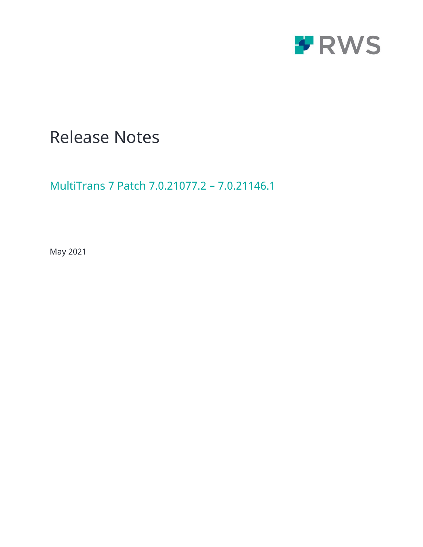

# Release Notes

MultiTrans 7 Patch 7.0.21077.2 – 7.0.21146.1

May 2021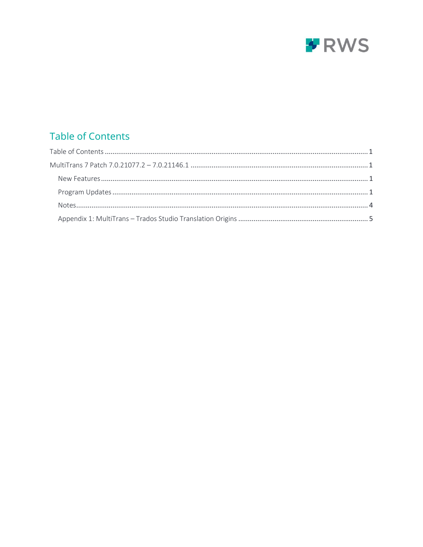

## <span id="page-1-0"></span>**Table of Contents**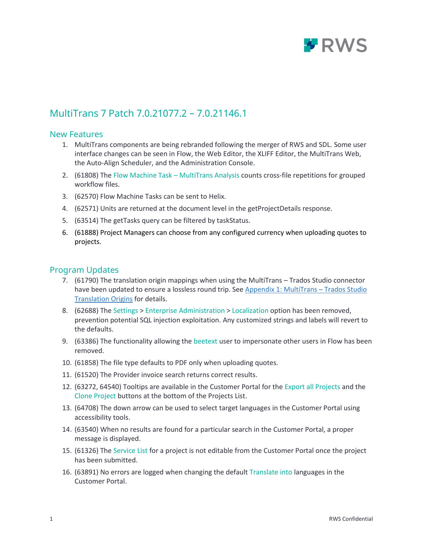

## <span id="page-2-0"></span>MultiTrans 7 Patch 7.0.21077.2 – 7.0.21146.1

#### <span id="page-2-1"></span>New Features

- 1. MultiTrans components are being rebranded following the merger of RWS and SDL. Some user interface changes can be seen in Flow, the Web Editor, the XLIFF Editor, the MultiTrans Web, the Auto-Align Scheduler, and the Administration Console.
- 2. (61808) The Flow Machine Task MultiTrans Analysis counts cross-file repetitions for grouped workflow files.
- 3. (62570) Flow Machine Tasks can be sent to Helix.
- 4. (62571) Units are returned at the document level in the getProjectDetails response.
- 5. (63514) The getTasks query can be filtered by taskStatus.
- 6. (61888) Project Managers can choose from any configured currency when uploading quotes to projects.

#### <span id="page-2-2"></span>Program Updates

- 7. (61790) The translation origin mappings when using the MultiTrans Trados Studio connector have been updated to ensure a lossless round trip. See [Appendix 1: MultiTrans](#page-6-0) – Trados Studio [Translation Origins](#page-6-0) for details.
- 8. (62688) The Settings > Enterprise Administration > Localization option has been removed, prevention potential SQL injection exploitation. Any customized strings and labels will revert to the defaults.
- 9. (63386) The functionality allowing the beetext user to impersonate other users in Flow has been removed.
- 10. (61858) The file type defaults to PDF only when uploading quotes.
- 11. (61520) The Provider invoice search returns correct results.
- 12. (63272, 64540) Tooltips are available in the Customer Portal for the Export all Projects and the Clone Project buttons at the bottom of the Projects List.
- 13. (64708) The down arrow can be used to select target languages in the Customer Portal using accessibility tools.
- 14. (63540) When no results are found for a particular search in the Customer Portal, a proper message is displayed.
- 15. (61326) The Service List for a project is not editable from the Customer Portal once the project has been submitted.
- 16. (63891) No errors are logged when changing the default Translate into languages in the Customer Portal.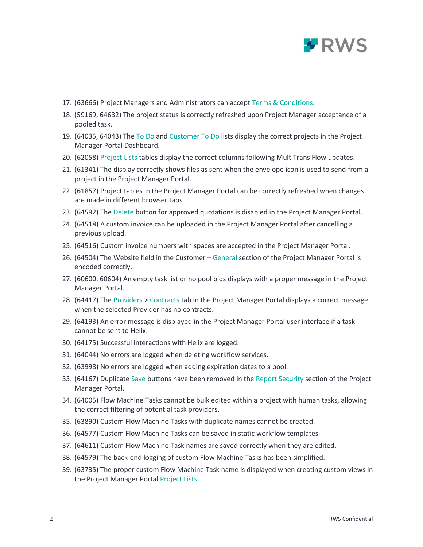

- 17. (63666) Project Managers and Administrators can accept Terms & Conditions.
- 18. (59169, 64632) The project status is correctly refreshed upon Project Manager acceptance of a pooled task.
- 19. (64035, 64043) The To Do and Customer To Do lists display the correct projects in the Project Manager Portal Dashboard.
- 20. (62058) Project Lists tables display the correct columns following MultiTrans Flow updates.
- 21. (61341) The display correctly shows files as sent when the envelope icon is used to send from a project in the Project Manager Portal.
- 22. (61857) Project tables in the Project Manager Portal can be correctly refreshed when changes are made in different browser tabs.
- 23. (64592) The Delete button for approved quotations is disabled in the Project Manager Portal.
- 24. (64518) A custom invoice can be uploaded in the Project Manager Portal after cancelling a previous upload.
- 25. (64516) Custom invoice numbers with spaces are accepted in the Project Manager Portal.
- 26. (64504) The Website field in the Customer General section of the Project Manager Portal is encoded correctly.
- 27. (60600, 60604) An empty task list or no pool bids displays with a proper message in the Project Manager Portal.
- 28. (64417) The Providers > Contracts tab in the Project Manager Portal displays a correct message when the selected Provider has no contracts.
- 29. (64193) An error message is displayed in the Project Manager Portal user interface if a task cannot be sent to Helix.
- 30. (64175) Successful interactions with Helix are logged.
- 31. (64044) No errors are logged when deleting workflow services.
- 32. (63998) No errors are logged when adding expiration dates to a pool.
- 33. (64167) Duplicate Save buttons have been removed in the Report Security section of the Project Manager Portal.
- 34. (64005) Flow Machine Tasks cannot be bulk edited within a project with human tasks, allowing the correct filtering of potential task providers.
- 35. (63890) Custom Flow Machine Tasks with duplicate names cannot be created.
- 36. (64577) Custom Flow Machine Tasks can be saved in static workflow templates.
- 37. (64611) Custom Flow Machine Task names are saved correctly when they are edited.
- 38. (64579) The back-end logging of custom Flow Machine Tasks has been simplified.
- 39. (63735) The proper custom Flow Machine Task name is displayed when creating custom views in the Project Manager Portal Project Lists.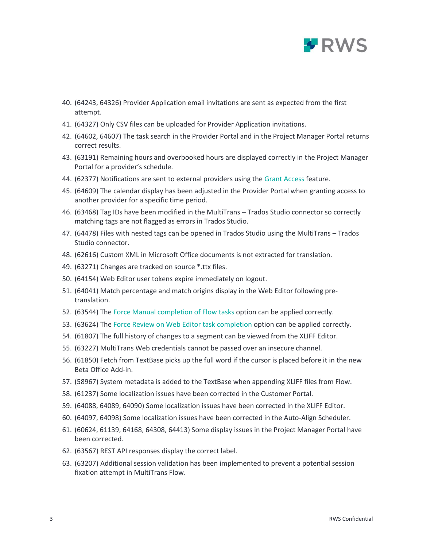

- 40. (64243, 64326) Provider Application email invitations are sent as expected from the first attempt.
- 41. (64327) Only CSV files can be uploaded for Provider Application invitations.
- 42. (64602, 64607) The task search in the Provider Portal and in the Project Manager Portal returns correct results.
- 43. (63191) Remaining hours and overbooked hours are displayed correctly in the Project Manager Portal for a provider's schedule.
- 44. (62377) Notifications are sent to external providers using the Grant Access feature.
- 45. (64609) The calendar display has been adjusted in the Provider Portal when granting access to another provider for a specific time period.
- 46. (63468) Tag IDs have been modified in the MultiTrans Trados Studio connector so correctly matching tags are not flagged as errors in Trados Studio.
- 47. (64478) Files with nested tags can be opened in Trados Studio using the MultiTrans Trados Studio connector.
- 48. (62616) Custom XML in Microsoft Office documents is not extracted for translation.
- 49. (63271) Changes are tracked on source \*.ttx files.
- 50. (64154) Web Editor user tokens expire immediately on logout.
- 51. (64041) Match percentage and match origins display in the Web Editor following pretranslation.
- 52. (63544) The Force Manual completion of Flow tasks option can be applied correctly.
- 53. (63624) The Force Review on Web Editor task completion option can be applied correctly.
- 54. (61807) The full history of changes to a segment can be viewed from the XLIFF Editor.
- 55. (63227) MultiTrans Web credentials cannot be passed over an insecure channel.
- 56. (61850) Fetch from TextBase picks up the full word if the cursor is placed before it in the new Beta Office Add-in.
- 57. (58967) System metadata is added to the TextBase when appending XLIFF files from Flow.
- 58. (61237) Some localization issues have been corrected in the Customer Portal.
- 59. (64088, 64089, 64090) Some localization issues have been corrected in the XLIFF Editor.
- 60. (64097, 64098) Some localization issues have been corrected in the Auto-Align Scheduler.
- 61. (60624, 61139, 64168, 64308, 64413) Some display issues in the Project Manager Portal have been corrected.
- 62. (63567) REST API responses display the correct label.
- 63. (63207) Additional session validation has been implemented to prevent a potential session fixation attempt in MultiTrans Flow.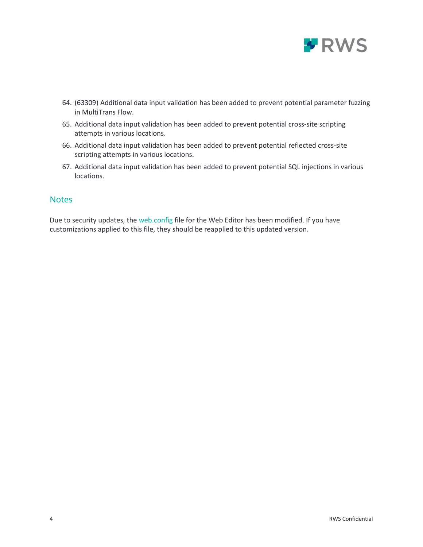

- 64. (63309) Additional data input validation has been added to prevent potential parameter fuzzing in MultiTrans Flow.
- 65. Additional data input validation has been added to prevent potential cross-site scripting attempts in various locations.
- 66. Additional data input validation has been added to prevent potential reflected cross-site scripting attempts in various locations.
- 67. Additional data input validation has been added to prevent potential SQL injections in various locations.

#### <span id="page-5-0"></span>**Notes**

Due to security updates, the web.config file for the Web Editor has been modified. If you have customizations applied to this file, they should be reapplied to this updated version.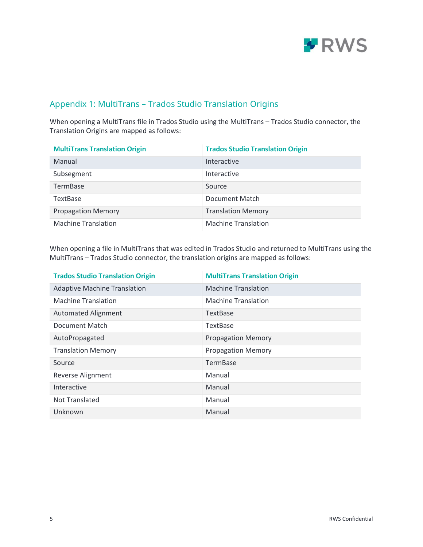

### <span id="page-6-0"></span>Appendix 1: MultiTrans – Trados Studio Translation Origins

When opening a MultiTrans file in Trados Studio using the MultiTrans – Trados Studio connector, the Translation Origins are mapped as follows:

| <b>MultiTrans Translation Origin</b> | <b>Trados Studio Translation Origin</b> |
|--------------------------------------|-----------------------------------------|
| Manual                               | Interactive                             |
| Subsegment                           | Interactive                             |
| TermBase                             | Source                                  |
| <b>TextBase</b>                      | Document Match                          |
| <b>Propagation Memory</b>            | <b>Translation Memory</b>               |
| <b>Machine Translation</b>           | <b>Machine Translation</b>              |

When opening a file in MultiTrans that was edited in Trados Studio and returned to MultiTrans using the MultiTrans – Trados Studio connector, the translation origins are mapped as follows:

| <b>Trados Studio Translation Origin</b> | <b>MultiTrans Translation Origin</b> |
|-----------------------------------------|--------------------------------------|
| <b>Adaptive Machine Translation</b>     | <b>Machine Translation</b>           |
| <b>Machine Translation</b>              | <b>Machine Translation</b>           |
| <b>Automated Alignment</b>              | <b>TextBase</b>                      |
| Document Match                          | <b>TextBase</b>                      |
| AutoPropagated                          | <b>Propagation Memory</b>            |
| <b>Translation Memory</b>               | <b>Propagation Memory</b>            |
| Source                                  | <b>TermBase</b>                      |
| Reverse Alignment                       | Manual                               |
| Interactive                             | Manual                               |
| Not Translated                          | Manual                               |
| Unknown                                 | Manual                               |